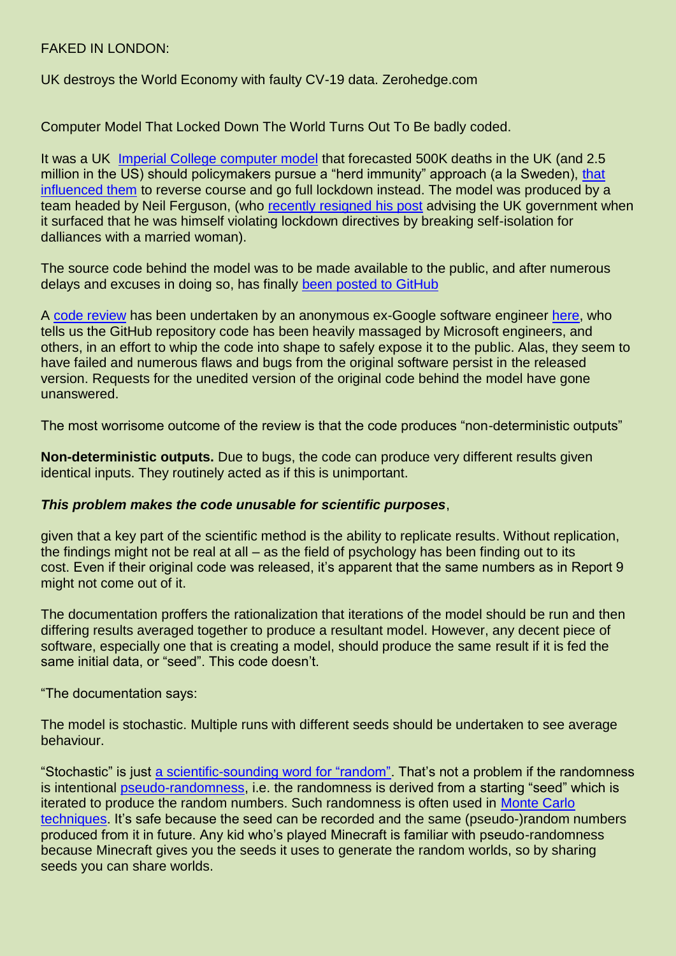## FAKED IN LONDON:

UK destroys the World Economy with faulty CV-19 data. Zerohedge.com

Computer Model That Locked Down The World Turns Out To Be badly coded.

It was a UK [Imperial College computer model](https://www.businessinsider.com/neil-ferguson-transformed-uk-covid-response-oxford-challenge-imperial-model-2020-4) that forecasted 500K deaths in the UK (and 2.5 million in the US) should policymakers pursue a "herd immunity" approach (a la Sweden), [that](https://www.telegraph.co.uk/news/2020/03/28/neil-ferguson-scientist-convinced-boris-johnson-uk-coronavirus-lockdown-criticised/)  [influenced them](https://www.telegraph.co.uk/news/2020/03/28/neil-ferguson-scientist-convinced-boris-johnson-uk-coronavirus-lockdown-criticised/) to reverse course and go full lockdown instead. The model was produced by a team headed by Neil Ferguson, (who [recently resigned his post](https://www.bbc.com/news/uk-politics-52553229) advising the UK government when it surfaced that he was himself violating lockdown directives by breaking self-isolation for dalliances with a married woman).

The source code behind the model was to be made available to the public, and after numerous delays and excuses in doing so, has finally [been posted to GitHub](https://github.com/mrc-ide/covid-sim)

A [code review](https://lockdownsceptics.org/code-review-of-fergusons-model/) has been undertaken by an anonymous ex-Google software engineer [here,](https://lockdownsceptics.org/code-review-of-fergusons-model/) who tells us the GitHub repository code has been heavily massaged by Microsoft engineers, and others, in an effort to whip the code into shape to safely expose it to the public. Alas, they seem to have failed and numerous flaws and bugs from the original software persist in the released version. Requests for the unedited version of the original code behind the model have gone unanswered.

The most worrisome outcome of the review is that the code produces "non-deterministic outputs"

**Non-deterministic outputs.** Due to bugs, the code can produce very different results given identical inputs. They routinely acted as if this is unimportant.

## *This problem makes the code unusable for scientific purposes*,

given that a key part of the scientific method is the ability to replicate results. Without replication, the findings might not be real at all – as the field of psychology has been finding out to its cost. Even if their original code was released, it's apparent that the same numbers as in Report 9 might not come out of it.

The documentation proffers the rationalization that iterations of the model should be run and then differing results averaged together to produce a resultant model. However, any decent piece of software, especially one that is creating a model, should produce the same result if it is fed the same initial data, or "seed". This code doesn't.

"The documentation says:

The model is stochastic. Multiple runs with different seeds should be undertaken to see average behaviour.

"Stochastic" is just [a scientific-sounding word for "random".](https://en.wikipedia.org/wiki/Stochastic) That's not a problem if the randomness is intentional [pseudo-randomness,](https://en.wikipedia.org/wiki/Pseudorandomness) i.e. the randomness is derived from a starting "seed" which is iterated to produce the random numbers. Such randomness is often used in [Monte Carlo](https://en.wikipedia.org/wiki/Monte_Carlo_method)  [techniques.](https://en.wikipedia.org/wiki/Monte_Carlo_method) It's safe because the seed can be recorded and the same (pseudo-)random numbers produced from it in future. Any kid who's played Minecraft is familiar with pseudo-randomness because Minecraft gives you the seeds it uses to generate the random worlds, so by sharing seeds you can share worlds.